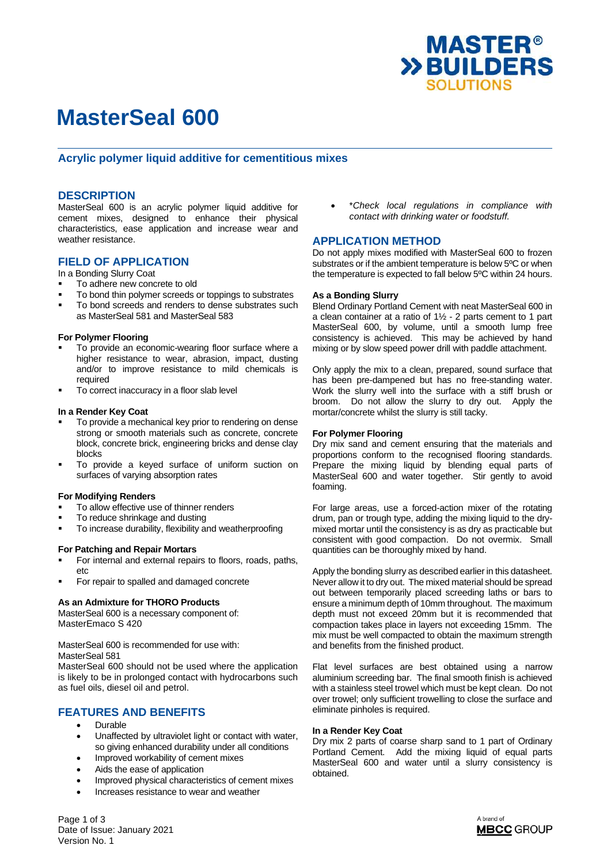

# **MasterSeal 600**

## **Acrylic polymer liquid additive for cementitious mixes**

## **DESCRIPTION**

MasterSeal 600 is an acrylic polymer liquid additive for cement mixes, designed to enhance their physical characteristics, ease application and increase wear and weather resistance.

## **FIELD OF APPLICATION**

In a Bonding Slurry Coat

- To adhere new concrete to old
- To bond thin polymer screeds or toppings to substrates
- To bond screeds and renders to dense substrates such as MasterSeal 581 and MasterSeal 583

### **For Polymer Flooring**

- To provide an economic-wearing floor surface where a higher resistance to wear, abrasion, impact, dusting and/or to improve resistance to mild chemicals is required
- To correct inaccuracy in a floor slab level

#### **In a Render Key Coat**

- To provide a mechanical key prior to rendering on dense strong or smooth materials such as concrete, concrete block, concrete brick, engineering bricks and dense clay blocks
- To provide a keyed surface of uniform suction on surfaces of varying absorption rates

### **For Modifying Renders**

- To allow effective use of thinner renders
- To reduce shrinkage and dusting
- To increase durability, flexibility and weatherproofing

### **For Patching and Repair Mortars**

- For internal and external repairs to floors, roads, paths, etc
- For repair to spalled and damaged concrete

## **As an Admixture for THORO Products**

MasterSeal 600 is a necessary component of: MasterEmaco S 420

MasterSeal 600 is recommended for use with: MasterSeal 581

MasterSeal 600 should not be used where the application is likely to be in prolonged contact with hydrocarbons such as fuel oils, diesel oil and petrol.

## **FEATURES AND BENEFITS**

- Durable
- Unaffected by ultraviolet light or contact with water, so giving enhanced durability under all conditions
- Improved workability of cement mixes
- Aids the ease of application
- Improved physical characteristics of cement mixes
- Increases resistance to wear and weather

 \**Check local regulations in compliance with contact with drinking water or foodstuff.*

## **APPLICATION METHOD**

Do not apply mixes modified with MasterSeal 600 to frozen substrates or if the ambient temperature is below 5ºC or when the temperature is expected to fall below 5ºC within 24 hours.

#### **As a Bonding Slurry**

Blend Ordinary Portland Cement with neat MasterSeal 600 in a clean container at a ratio of 1½ - 2 parts cement to 1 part MasterSeal 600, by volume, until a smooth lump free consistency is achieved. This may be achieved by hand mixing or by slow speed power drill with paddle attachment.

Only apply the mix to a clean, prepared, sound surface that has been pre-dampened but has no free-standing water. Work the slurry well into the surface with a stiff brush or broom. Do not allow the slurry to dry out. Apply the mortar/concrete whilst the slurry is still tacky.

#### **For Polymer Flooring**

Dry mix sand and cement ensuring that the materials and proportions conform to the recognised flooring standards. Prepare the mixing liquid by blending equal parts of MasterSeal 600 and water together. Stir gently to avoid foaming.

For large areas, use a forced-action mixer of the rotating drum, pan or trough type, adding the mixing liquid to the drymixed mortar until the consistency is as dry as practicable but consistent with good compaction. Do not overmix. Small quantities can be thoroughly mixed by hand.

Apply the bonding slurry as described earlier in this datasheet. Never allow it to dry out. The mixed material should be spread out between temporarily placed screeding laths or bars to ensure a minimum depth of 10mm throughout. The maximum depth must not exceed 20mm but it is recommended that compaction takes place in layers not exceeding 15mm. The mix must be well compacted to obtain the maximum strength and benefits from the finished product.

Flat level surfaces are best obtained using a narrow aluminium screeding bar. The final smooth finish is achieved with a stainless steel trowel which must be kept clean. Do not over trowel; only sufficient trowelling to close the surface and eliminate pinholes is required.

#### **In a Render Key Coat**

Dry mix 2 parts of coarse sharp sand to 1 part of Ordinary Portland Cement. Add the mixing liquid of equal parts MasterSeal 600 and water until a slurry consistency is obtained.



Page 1 of 3 Date of Issue: January 2021 Version No. 1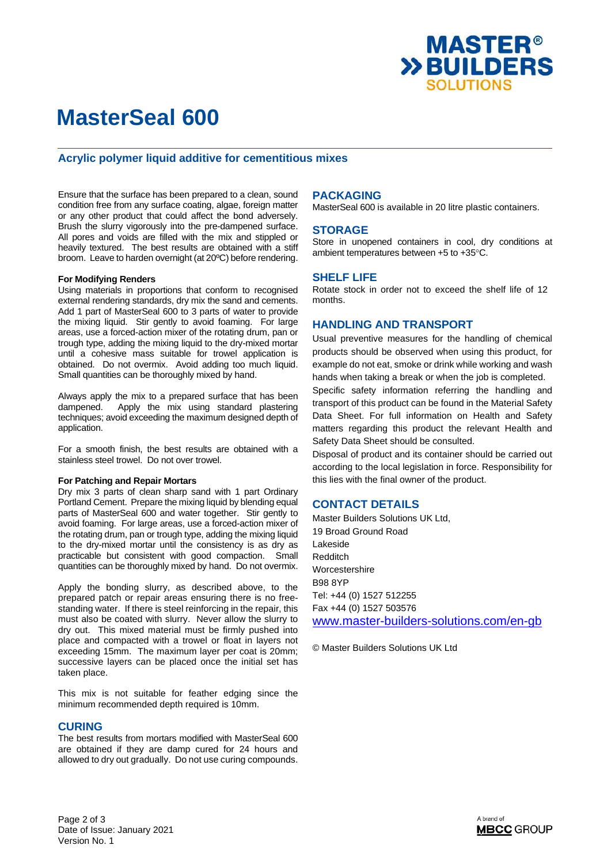

# **MasterSeal 600**

## **Acrylic polymer liquid additive for cementitious mixes**

Ensure that the surface has been prepared to a clean, sound condition free from any surface coating, algae, foreign matter or any other product that could affect the bond adversely. Brush the slurry vigorously into the pre-dampened surface. All pores and voids are filled with the mix and stippled or heavily textured. The best results are obtained with a stiff broom. Leave to harden overnight (at 20ºC) before rendering.

### **For Modifying Renders**

Using materials in proportions that conform to recognised external rendering standards, dry mix the sand and cements. Add 1 part of MasterSeal 600 to 3 parts of water to provide the mixing liquid. Stir gently to avoid foaming. For large areas, use a forced-action mixer of the rotating drum, pan or trough type, adding the mixing liquid to the dry-mixed mortar until a cohesive mass suitable for trowel application is obtained. Do not overmix. Avoid adding too much liquid. Small quantities can be thoroughly mixed by hand.

Always apply the mix to a prepared surface that has been dampened. Apply the mix using standard plastering techniques; avoid exceeding the maximum designed depth of application.

For a smooth finish, the best results are obtained with a stainless steel trowel. Do not over trowel.

#### **For Patching and Repair Mortars**

Dry mix 3 parts of clean sharp sand with 1 part Ordinary Portland Cement. Prepare the mixing liquid by blending equal parts of MasterSeal 600 and water together. Stir gently to avoid foaming. For large areas, use a forced-action mixer of the rotating drum, pan or trough type, adding the mixing liquid to the dry-mixed mortar until the consistency is as dry as practicable but consistent with good compaction. Small quantities can be thoroughly mixed by hand. Do not overmix.

Apply the bonding slurry, as described above, to the prepared patch or repair areas ensuring there is no freestanding water. If there is steel reinforcing in the repair, this must also be coated with slurry. Never allow the slurry to dry out. This mixed material must be firmly pushed into place and compacted with a trowel or float in layers not exceeding 15mm. The maximum layer per coat is 20mm; successive layers can be placed once the initial set has taken place.

This mix is not suitable for feather edging since the minimum recommended depth required is 10mm.

### **CURING**

The best results from mortars modified with MasterSeal 600 are obtained if they are damp cured for 24 hours and allowed to dry out gradually. Do not use curing compounds.

## **PACKAGING**

MasterSeal 600 is available in 20 litre plastic containers.

## **STORAGE**

Store in unopened containers in cool, dry conditions at ambient temperatures between  $+5$  to  $+35^{\circ}$ C.

## **SHELF LIFE**

Rotate stock in order not to exceed the shelf life of 12 months.

## **HANDLING AND TRANSPORT**

Usual preventive measures for the handling of chemical products should be observed when using this product, for example do not eat, smoke or drink while working and wash hands when taking a break or when the job is completed. Specific safety information referring the handling and transport of this product can be found in the Material Safety Data Sheet. For full information on Health and Safety matters regarding this product the relevant Health and Safety Data Sheet should be consulted.

Disposal of product and its container should be carried out according to the local legislation in force. Responsibility for this lies with the final owner of the product.

## **CONTACT DETAILS**

Master Builders Solutions UK Ltd, 19 Broad Ground Road Lakeside Redditch Worcestershire B98 8YP Tel: +44 (0) 1527 512255 Fax +44 (0) 1527 503576 [www.master-builders-solutions.com/en-gb](http://www.master-builders-solutions.com/en-gb)

© Master Builders Solutions UK Ltd

Page 2 of 3 Date of Issue: January 2021 Version No. 1